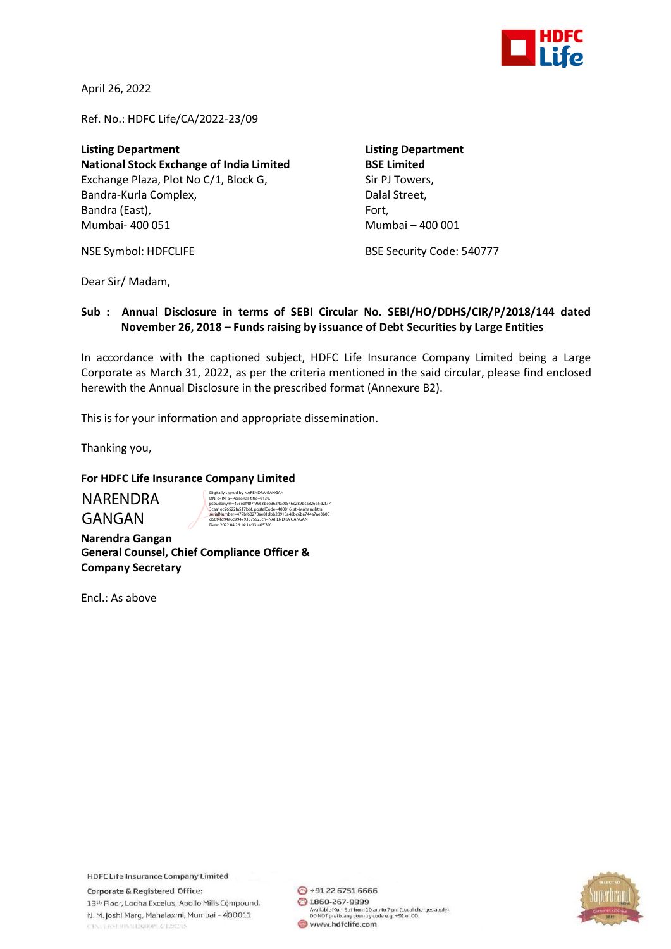

April 26, 2022

Ref. No.: HDFC Life/CA/2022-23/09

**Listing Department Listing Department National Stock Exchange of India Limited BSE Limited** Exchange Plaza, Plot No C/1, Block G, Sir PJ Towers, Bandra-Kurla Complex, and a complexed bandra-Kurla Complex, Bandra (East), Fort, Fort, Fort, Fort, Fort, Fort, Mumbai- 400 051 Mumbai – 400 001

NSE Symbol: HDFCLIFE BSE Security Code: 540777

Dear Sir/ Madam,

## **Sub : Annual Disclosure in terms of SEBI Circular No. SEBI/HO/DDHS/CIR/P/2018/144 dated November 26, 2018 – Funds raising by issuance of Debt Securities by Large Entities**

In accordance with the captioned subject, HDFC Life Insurance Company Limited being a Large Corporate as March 31, 2022, as per the criteria mentioned in the said circular, please find enclosed herewith the Annual Disclosure in the prescribed format (Annexure B2).

This is for your information and appropriate dissemination.

Thanking you,

GANGAN

## **For HDFC Life Insurance Company Limited**

NARENDRA Digitully signed by NARENDRA GANGAN<br>Disc (= 10, 000 m) March (1986)<br>pseudonym=49ced4407f9963bee3624ac0546c289bca826b5d2f7<br>3can le<br/>c2622faS17bbf, postalCode=400016, st=Maharashtra, 7<br>sienialWumber=477bf60273ae81dbb28910

**Narendra Gangan General Counsel, Chief Compliance Officer & Company Secretary**

Encl.: As above

**HDFC Life Insurance Company Limited** 

Corporate & Registered Office: 13th Floor, Lodha Excelus, Apollo Mills Compound, N. M. Joshi Marg, Mahalaxmi, Mumbai - 400011 CINE LESTINATIZONOPLICT28245